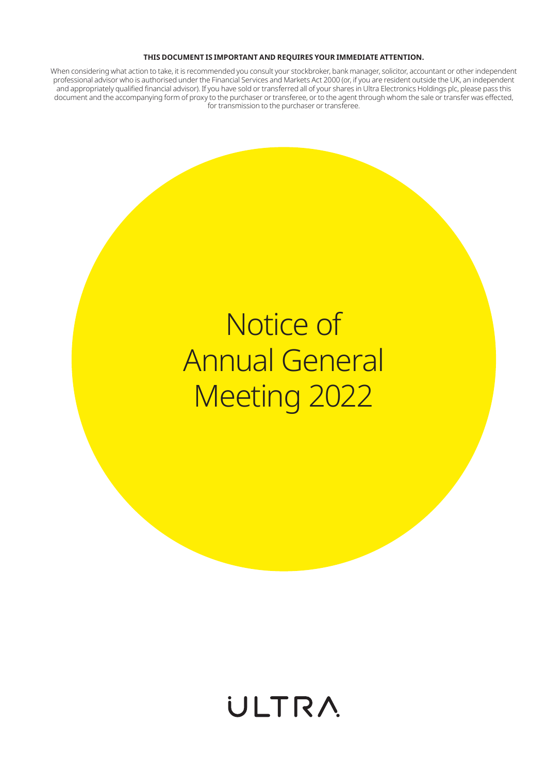#### **THIS DOCUMENT IS IMPORTANT AND REQUIRES YOUR IMMEDIATE ATTENTION.**

When considering what action to take, it is recommended you consult your stockbroker, bank manager, solicitor, accountant or other independent professional advisor who is authorised under the Financial Services and Markets Act 2000 (or, if you are resident outside the UK, an independent and appropriately qualified financial advisor). If you have sold or transferred all of your shares in Ultra Electronics Holdings plc, please pass this document and the accompanying form of proxy to the purchaser or transferee, or to the agent through whom the sale or transfer was effected, for transmission to the purchaser or transferee.

## Notice of Annual General Meeting 2022

## **ULTRA**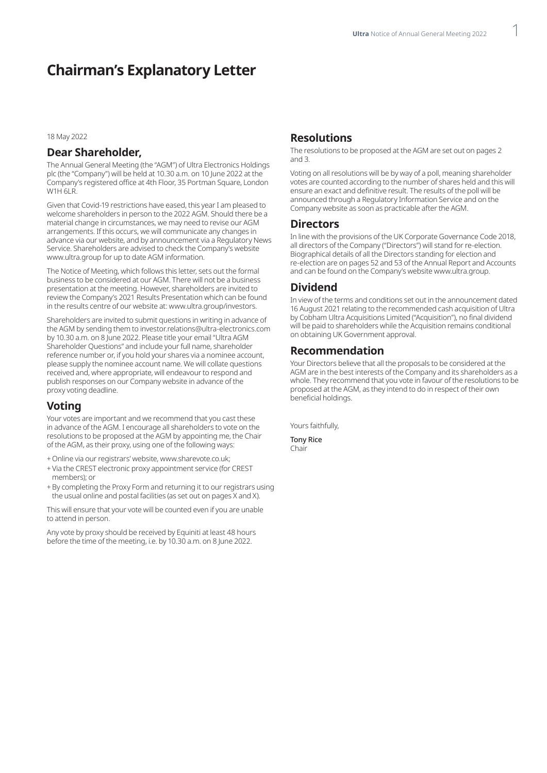## **Chairman's Explanatory Letter**

18 May 2022

#### **Dear Shareholder,**

The Annual General Meeting (the "AGM") of Ultra Electronics Holdings plc (the "Company") will be held at 10.30 a.m. on 10 June 2022 at the Company's registered office at 4th Floor, 35 Portman Square, London W1H 6LR.

Given that Covid-19 restrictions have eased, this year I am pleased to welcome shareholders in person to the 2022 AGM. Should there be a material change in circumstances, we may need to revise our AGM arrangements. If this occurs, we will communicate any changes in advance via our website, and by announcement via a Regulatory News Service. Shareholders are advised to check the Company's website www.ultra.group for up to date AGM information.

The Notice of Meeting, which follows this letter, sets out the formal business to be considered at our AGM. There will not be a business presentation at the meeting. However, shareholders are invited to review the Company's 2021 Results Presentation which can be found in the results centre of our website at: www.ultra.group/investors.

Shareholders are invited to submit questions in writing in advance of the AGM by sending them to investor.relations@ultra-electronics.com by 10.30 a.m. on 8 June 2022. Please title your email "Ultra AGM Shareholder Questions" and include your full name, shareholder reference number or, if you hold your shares via a nominee account, please supply the nominee account name. We will collate questions received and, where appropriate, will endeavour to respond and publish responses on our Company website in advance of the proxy voting deadline.

#### **Voting**

Your votes are important and we recommend that you cast these in advance of the AGM. I encourage all shareholders to vote on the resolutions to be proposed at the AGM by appointing me, the Chair of the AGM, as their proxy, using one of the following ways:

- +Online via our registrars' website, www.sharevote.co.uk;
- +Via the CREST electronic proxy appointment service (for CREST members); or
- +By completing the Proxy Form and returning it to our registrars using the usual online and postal facilities (as set out on pages X and X).

This will ensure that your vote will be counted even if you are unable to attend in person.

Any vote by proxy should be received by Equiniti at least 48 hours before the time of the meeting, i.e. by 10.30 a.m. on 8 June 2022.

#### **Resolutions**

The resolutions to be proposed at the AGM are set out on pages 2 and 3.

Voting on all resolutions will be by way of a poll, meaning shareholder votes are counted according to the number of shares held and this will ensure an exact and definitive result. The results of the poll will be announced through a Regulatory Information Service and on the Company website as soon as practicable after the AGM.

#### **Directors**

In line with the provisions of the UK Corporate Governance Code 2018, all directors of the Company ("Directors") will stand for re-election. Biographical details of all the Directors standing for election and re-election are on pages 52 and 53 of the Annual Report and Accounts and can be found on the Company's website www.ultra.group.

#### **Dividend**

In view of the terms and conditions set out in the announcement dated 16 August 2021 relating to the recommended cash acquisition of Ultra by Cobham Ultra Acquisitions Limited ("Acquisition"), no final dividend will be paid to shareholders while the Acquisition remains conditional on obtaining UK Government approval.

#### **Recommendation**

Your Directors believe that all the proposals to be considered at the AGM are in the best interests of the Company and its shareholders as a whole. They recommend that you vote in favour of the resolutions to be proposed at the AGM, as they intend to do in respect of their own beneficial holdings.

Yours faithfully,

Tony Rice Chair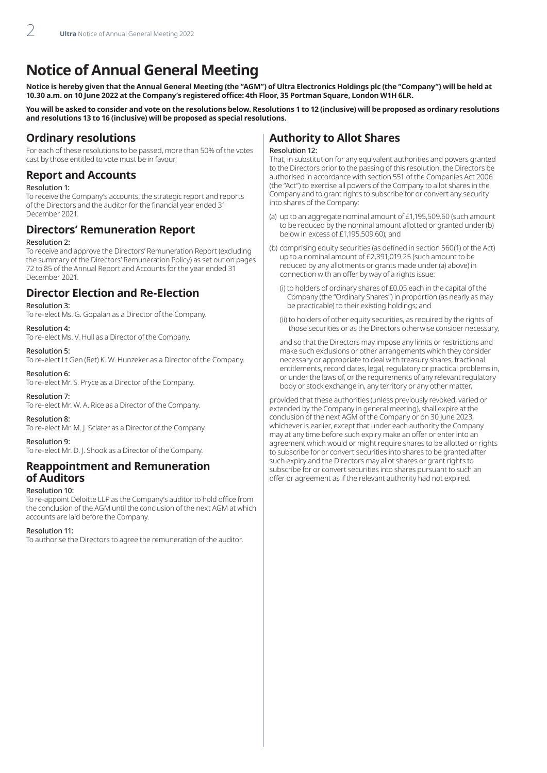## **Notice of Annual General Meeting**

**Notice is hereby given that the Annual General Meeting (the "AGM") of Ultra Electronics Holdings plc (the "Company") will be held at 10.30 a.m. on 10 June 2022 at the Company's registered office: 4th Floor, 35 Portman Square, London W1H 6LR.**

**You will be asked to consider and vote on the resolutions below. Resolutions 1 to 12 (inclusive) will be proposed as ordinary resolutions and resolutions 13 to 16 (inclusive) will be proposed as special resolutions.**

#### **Ordinary resolutions**

For each of these resolutions to be passed, more than 50% of the votes cast by those entitled to vote must be in favour.

#### **Report and Accounts**

#### Resolution 1:

To receive the Company's accounts, the strategic report and reports of the Directors and the auditor for the financial year ended 31 December 2021.

#### **Directors' Remuneration Report**

#### Resolution 2:

To receive and approve the Directors' Remuneration Report (excluding the summary of the Directors' Remuneration Policy) as set out on pages 72 to 85 of the Annual Report and Accounts for the year ended 31 December 2021.

#### **Director Election and Re-Election**

#### Resolution 3:

To re-elect Ms. G. Gopalan as a Director of the Company.

#### Resolution 4:

To re-elect Ms. V. Hull as a Director of the Company.

#### Resolution 5:

To re-elect Lt Gen (Ret) K. W. Hunzeker as a Director of the Company.

#### Resolution 6:

To re-elect Mr. S. Pryce as a Director of the Company.

#### Resolution 7:

To re-elect Mr. W. A. Rice as a Director of the Company.

#### Resolution 8:

To re-elect Mr. M. J. Sclater as a Director of the Company.

#### Resolution 9:

To re-elect Mr. D. J. Shook as a Director of the Company.

#### **Reappointment and Remuneration of Auditors**

#### Resolution 10:

To re-appoint Deloitte LLP as the Company's auditor to hold office from the conclusion of the AGM until the conclusion of the next AGM at which accounts are laid before the Company.

#### Resolution 11:

To authorise the Directors to agree the remuneration of the auditor.

### **Authority to Allot Shares**

#### Resolution 12:

That, in substitution for any equivalent authorities and powers granted to the Directors prior to the passing of this resolution, the Directors be authorised in accordance with section 551 of the Companies Act 2006 (the "Act") to exercise all powers of the Company to allot shares in the Company and to grant rights to subscribe for or convert any security into shares of the Company:

- (a) up to an aggregate nominal amount of £1,195,509.60 (such amount to be reduced by the nominal amount allotted or granted under (b) below in excess of £1,195,509.60); and
- (b) comprising equity securities (as defined in section 560(1) of the Act) up to a nominal amount of £2,391,019.25 (such amount to be reduced by any allotments or grants made under (a) above) in connection with an offer by way of a rights issue:
	- (i) to holders of ordinary shares of £0.05 each in the capital of the Company (the "Ordinary Shares") in proportion (as nearly as may be practicable) to their existing holdings; and
	- (ii) to holders of other equity securities, as required by the rights of those securities or as the Directors otherwise consider necessary,

 and so that the Directors may impose any limits or restrictions and make such exclusions or other arrangements which they consider necessary or appropriate to deal with treasury shares, fractional entitlements, record dates, legal, regulatory or practical problems in, or under the laws of, or the requirements of any relevant regulatory body or stock exchange in, any territory or any other matter,

provided that these authorities (unless previously revoked, varied or extended by the Company in general meeting), shall expire at the conclusion of the next AGM of the Company or on 30 June 2023, whichever is earlier, except that under each authority the Company may at any time before such expiry make an offer or enter into an agreement which would or might require shares to be allotted or rights to subscribe for or convert securities into shares to be granted after such expiry and the Directors may allot shares or grant rights to subscribe for or convert securities into shares pursuant to such an offer or agreement as if the relevant authority had not expired.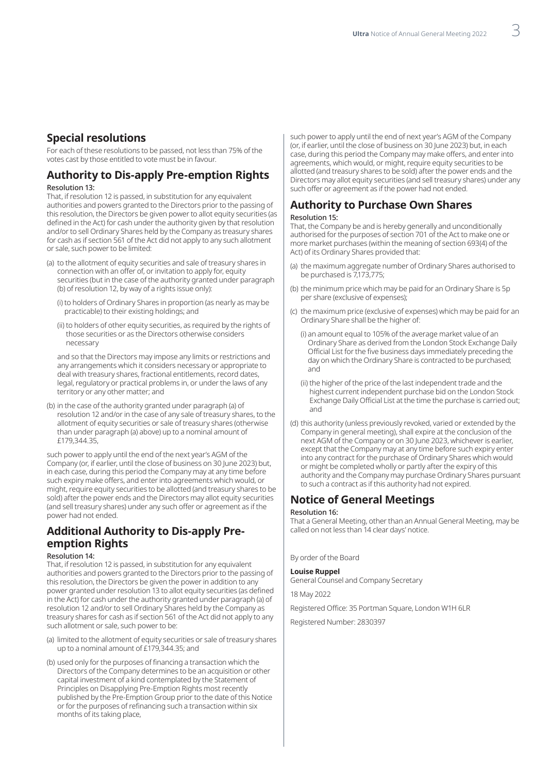#### **Special resolutions**

For each of these resolutions to be passed, not less than 75% of the votes cast by those entitled to vote must be in favour.

#### **Authority to Dis-apply Pre-emption Rights** Resolution 13:

That, if resolution 12 is passed, in substitution for any equivalent authorities and powers granted to the Directors prior to the passing of this resolution, the Directors be given power to allot equity securities (as defined in the Act) for cash under the authority given by that resolution and/or to sell Ordinary Shares held by the Company as treasury shares for cash as if section 561 of the Act did not apply to any such allotment or sale, such power to be limited:

- (a) to the allotment of equity securities and sale of treasury shares in connection with an offer of, or invitation to apply for, equity securities (but in the case of the authority granted under paragraph (b) of resolution 12, by way of a rights issue only):
	- (i) to holders of Ordinary Shares in proportion (as nearly as may be practicable) to their existing holdings; and
	- (ii) to holders of other equity securities, as required by the rights of those securities or as the Directors otherwise considers necessary

 and so that the Directors may impose any limits or restrictions and any arrangements which it considers necessary or appropriate to deal with treasury shares, fractional entitlements, record dates, legal, regulatory or practical problems in, or under the laws of any territory or any other matter; and

(b) in the case of the authority granted under paragraph (a) of resolution 12 and/or in the case of any sale of treasury shares, to the allotment of equity securities or sale of treasury shares (otherwise than under paragraph (a) above) up to a nominal amount of £179,344.35.

such power to apply until the end of the next year's AGM of the Company (or, if earlier, until the close of business on 30 June 2023) but, in each case, during this period the Company may at any time before such expiry make offers, and enter into agreements which would, or might, require equity securities to be allotted (and treasury shares to be sold) after the power ends and the Directors may allot equity securities (and sell treasury shares) under any such offer or agreement as if the power had not ended.

#### **Additional Authority to Dis-apply Preemption Rights**

#### Resolution 14:

That, if resolution 12 is passed, in substitution for any equivalent authorities and powers granted to the Directors prior to the passing of this resolution, the Directors be given the power in addition to any power granted under resolution 13 to allot equity securities (as defined in the Act) for cash under the authority granted under paragraph (a) of resolution 12 and/or to sell Ordinary Shares held by the Company as treasury shares for cash as if section 561 of the Act did not apply to any such allotment or sale, such power to be:

- (a) limited to the allotment of equity securities or sale of treasury shares up to a nominal amount of £179,344.35; and
- (b) used only for the purposes of financing a transaction which the Directors of the Company determines to be an acquisition or other capital investment of a kind contemplated by the Statement of Principles on Disapplying Pre-Emption Rights most recently published by the Pre-Emption Group prior to the date of this Notice or for the purposes of refinancing such a transaction within six months of its taking place,

such power to apply until the end of next year's AGM of the Company (or, if earlier, until the close of business on 30 June 2023) but, in each case, during this period the Company may make offers, and enter into agreements, which would, or might, require equity securities to be allotted (and treasury shares to be sold) after the power ends and the Directors may allot equity securities (and sell treasury shares) under any such offer or agreement as if the power had not ended.

## **Authority to Purchase Own Shares**

#### Resolution 15:

That, the Company be and is hereby generally and unconditionally authorised for the purposes of section 701 of the Act to make one or more market purchases (within the meaning of section 693(4) of the Act) of its Ordinary Shares provided that:

- (a) the maximum aggregate number of Ordinary Shares authorised to be purchased is 7,173,775;
- (b) the minimum price which may be paid for an Ordinary Share is 5p per share (exclusive of expenses);
- (c) the maximum price (exclusive of expenses) which may be paid for an Ordinary Share shall be the higher of:
	- (i) an amount equal to 105% of the average market value of an Ordinary Share as derived from the London Stock Exchange Daily Official List for the five business days immediately preceding the day on which the Ordinary Share is contracted to be purchased; and
	- (ii) the higher of the price of the last independent trade and the highest current independent purchase bid on the London Stock Exchange Daily Official List at the time the purchase is carried out; and
- (d) this authority (unless previously revoked, varied or extended by the Company in general meeting), shall expire at the conclusion of the next AGM of the Company or on 30 June 2023, whichever is earlier, except that the Company may at any time before such expiry enter into any contract for the purchase of Ordinary Shares which would or might be completed wholly or partly after the expiry of this authority and the Company may purchase Ordinary Shares pursuant to such a contract as if this authority had not expired.

#### **Notice of General Meetings**

#### Resolution 16:

That a General Meeting, other than an Annual General Meeting, may be called on not less than 14 clear days' notice.

By order of the Board

#### **Louise Ruppel**

General Counsel and Company Secretary

18 May 2022

Registered Office: 35 Portman Square, London W1H 6LR

Registered Number: 2830397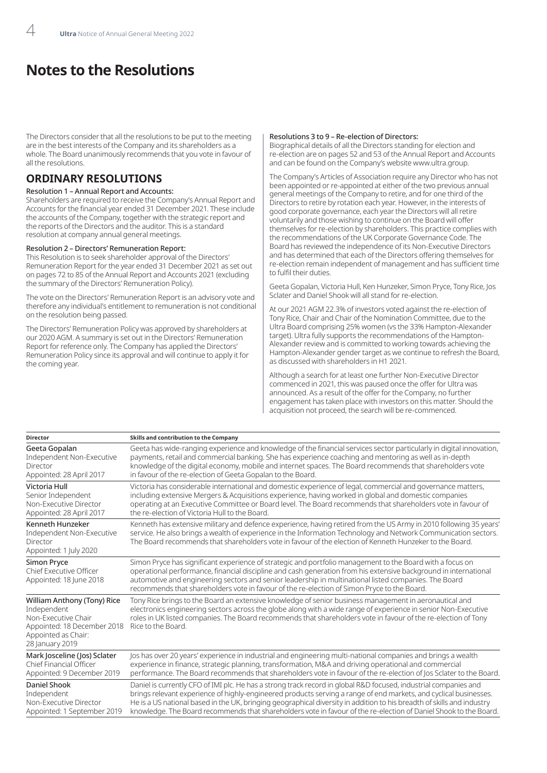## **Notes to the Resolutions**

The Directors consider that all the resolutions to be put to the meeting are in the best interests of the Company and its shareholders as a whole. The Board unanimously recommends that you vote in favour of all the resolutions.

#### **ORDINARY RESOLUTIONS**

#### Resolution 1 – Annual Report and Accounts:

Shareholders are required to receive the Company's Annual Report and Accounts for the financial year ended 31 December 2021. These include the accounts of the Company, together with the strategic report and the reports of the Directors and the auditor. This is a standard resolution at company annual general meetings.

#### Resolution 2 – Directors' Remuneration Report:

This Resolution is to seek shareholder approval of the Directors' Remuneration Report for the year ended 31 December 2021 as set out on pages 72 to 85 of the Annual Report and Accounts 2021 (excluding the summary of the Directors' Remuneration Policy).

The vote on the Directors' Remuneration Report is an advisory vote and therefore any individual's entitlement to remuneration is not conditional on the resolution being passed.

The Directors' Remuneration Policy was approved by shareholders at our 2020 AGM. A summary is set out in the Directors' Remuneration Report for reference only. The Company has applied the Directors' Remuneration Policy since its approval and will continue to apply it for the coming year.

#### Resolutions 3 to 9 – Re-election of Directors:

Biographical details of all the Directors standing for election and re-election are on pages 52 and 53 of the Annual Report and Accounts and can be found on the Company's website www.ultra.group.

The Company's Articles of Association require any Director who has not been appointed or re-appointed at either of the two previous annual general meetings of the Company to retire, and for one third of the Directors to retire by rotation each year. However, in the interests of good corporate governance, each year the Directors will all retire voluntarily and those wishing to continue on the Board will offer themselves for re-election by shareholders. This practice complies with the recommendations of the UK Corporate Governance Code. The Board has reviewed the independence of its Non-Executive Directors and has determined that each of the Directors offering themselves for re-election remain independent of management and has sufficient time to fulfil their duties.

Geeta Gopalan, Victoria Hull, Ken Hunzeker, Simon Pryce, Tony Rice, Jos Sclater and Daniel Shook will all stand for re-election.

At our 2021 AGM 22.3% of investors voted against the re-election of Tony Rice, Chair and Chair of the Nomination Committee, due to the Ultra Board comprising 25% women (vs the 33% Hampton-Alexander target). Ultra fully supports the recommendations of the Hampton-Alexander review and is committed to working towards achieving the Hampton-Alexander gender target as we continue to refresh the Board, as discussed with shareholders in H1 2021.

Although a search for at least one further Non-Executive Director commenced in 2021, this was paused once the offer for Ultra was announced. As a result of the offer for the Company, no further engagement has taken place with investors on this matter. Should the acquisition not proceed, the search will be re-commenced.

| <b>Director</b>                                                                                                                            | Skills and contribution to the Company                                                                                                                                                                                                                                                                                                                                                                                                |
|--------------------------------------------------------------------------------------------------------------------------------------------|---------------------------------------------------------------------------------------------------------------------------------------------------------------------------------------------------------------------------------------------------------------------------------------------------------------------------------------------------------------------------------------------------------------------------------------|
| Geeta Gopalan                                                                                                                              | Geeta has wide-ranging experience and knowledge of the financial services sector particularly in digital innovation,                                                                                                                                                                                                                                                                                                                  |
| Independent Non-Executive                                                                                                                  | payments, retail and commercial banking. She has experience coaching and mentoring as well as in-depth                                                                                                                                                                                                                                                                                                                                |
| Director                                                                                                                                   | knowledge of the digital economy, mobile and internet spaces. The Board recommends that shareholders vote                                                                                                                                                                                                                                                                                                                             |
| Appointed: 28 April 2017                                                                                                                   | in favour of the re-election of Geeta Gopalan to the Board.                                                                                                                                                                                                                                                                                                                                                                           |
| Victoria Hull                                                                                                                              | Victoria has considerable international and domestic experience of legal, commercial and governance matters,                                                                                                                                                                                                                                                                                                                          |
| Senior Independent                                                                                                                         | including extensive Mergers & Acquisitions experience, having worked in global and domestic companies                                                                                                                                                                                                                                                                                                                                 |
| Non-Executive Director                                                                                                                     | operating at an Executive Committee or Board level. The Board recommends that shareholders vote in favour of                                                                                                                                                                                                                                                                                                                          |
| Appointed: 28 April 2017                                                                                                                   | the re-election of Victoria Hull to the Board.                                                                                                                                                                                                                                                                                                                                                                                        |
| Kenneth Hunzeker<br>Independent Non-Executive<br>Director<br>Appointed: 1 July 2020                                                        | Kenneth has extensive military and defence experience, having retired from the US Army in 2010 following 35 years'<br>service. He also brings a wealth of experience in the Information Technology and Network Communication sectors.<br>The Board recommends that shareholders vote in favour of the election of Kenneth Hunzeker to the Board.                                                                                      |
| <b>Simon Pryce</b><br>Chief Executive Officer<br>Appointed: 18 June 2018                                                                   | Simon Pryce has significant experience of strategic and portfolio management to the Board with a focus on<br>operational performance, financial discipline and cash generation from his extensive background in international<br>automotive and engineering sectors and senior leadership in multinational listed companies. The Board<br>recommends that shareholders vote in favour of the re-election of Simon Pryce to the Board. |
| William Anthony (Tony) Rice<br>Independent<br>Non-Executive Chair<br>Appointed: 18 December 2018<br>Appointed as Chair:<br>28 January 2019 | Tony Rice brings to the Board an extensive knowledge of senior business management in aeronautical and<br>electronics engineering sectors across the globe along with a wide range of experience in senior Non-Executive<br>roles in UK listed companies. The Board recommends that shareholders vote in favour of the re-election of Tony<br>Rice to the Board.                                                                      |
| Mark Josceline (Jos) Sclater                                                                                                               | Jos has over 20 years' experience in industrial and engineering multi-national companies and brings a wealth                                                                                                                                                                                                                                                                                                                          |
| <b>Chief Financial Officer</b>                                                                                                             | experience in finance, strategic planning, transformation, M&A and driving operational and commercial                                                                                                                                                                                                                                                                                                                                 |
| Appointed: 9 December 2019                                                                                                                 | performance. The Board recommends that shareholders vote in favour of the re-election of Jos Sclater to the Board.                                                                                                                                                                                                                                                                                                                    |
| Daniel Shook                                                                                                                               | Daniel is currently CFO of IMI plc. He has a strong track record in global R&D focused, industrial companies and                                                                                                                                                                                                                                                                                                                      |
| Independent                                                                                                                                | brings relevant experience of highly-engineered products serving a range of end markets, and cyclical businesses.                                                                                                                                                                                                                                                                                                                     |
| Non-Executive Director                                                                                                                     | He is a US national based in the UK, bringing geographical diversity in addition to his breadth of skills and industry                                                                                                                                                                                                                                                                                                                |
| Appointed: 1 September 2019                                                                                                                | knowledge. The Board recommends that shareholders vote in favour of the re-election of Daniel Shook to the Board.                                                                                                                                                                                                                                                                                                                     |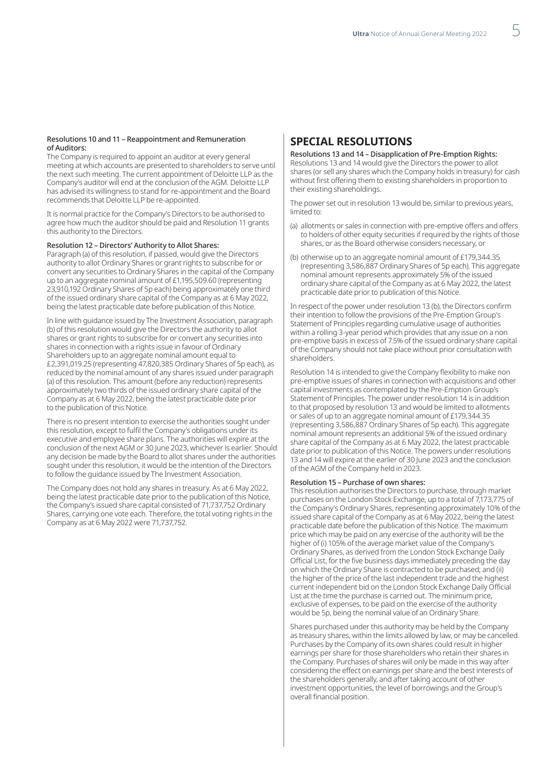#### Resolutions 10 and 11 – Reappointment and Remuneration of Auditors:

The Company is required to appoint an auditor at every general meeting at which accounts are presented to shareholders to serve until the next such meeting. The current appointment of Deloitte LLP as the Company's auditor will end at the conclusion of the AGM. Deloitte LLP has advised its willingness to stand for re-appointment and the Board recommends that Deloitte LLP be re-appointed.

It is normal practice for the Company's Directors to be authorised to agree how much the auditor should be paid and Resolution 11 grants this authority to the Directors.

#### Resolution 12 – Directors' Authority to Allot Shares:

Paragraph (a) of this resolution, if passed, would give the Directors authority to allot Ordinary Shares or grant rights to subscribe for or convert any securities to Ordinary Shares in the capital of the Company up to an aggregate nominal amount of £1,195,509.60 (representing 23,910,192 Ordinary Shares of 5p each) being approximately one third of the issued ordinary share capital of the Company as at 6 May 2022, being the latest practicable date before publication of this Notice.

In line with guidance issued by The Investment Association, paragraph (b) of this resolution would give the Directors the authority to allot shares or grant rights to subscribe for or convert any securities into shares in connection with a rights issue in favour of Ordinary Shareholders up to an aggregate nominal amount equal to £2,391,019.25 (representing 47,820,385 Ordinary Shares of 5p each), as reduced by the nominal amount of any shares issued under paragraph (a) of this resolution. This amount (before any reduction) represents approximately two thirds of the issued ordinary share capital of the Company as at 6 May 2022, being the latest practicable date prior to the publication of this Notice.

There is no present intention to exercise the authorities sought under this resolution, except to fulfil the Company's obligations under its executive and employee share plans. The authorities will expire at the conclusion of the next AGM or 30 June 2023, whichever is earlier. Should any decision be made by the Board to allot shares under the authorities sought under this resolution, it would be the intention of the Directors to follow the guidance issued by The Investment Association.

The Company does not hold any shares in treasury. As at 6 May 2022, being the latest practicable date prior to the publication of this Notice, the Company's issued share capital consisted of 71,737,752 Ordinary Shares, carrying one vote each. Therefore, the total voting rights in the Company as at 6 May 2022 were 71,737,752.

#### **SPECIAL RESOLUTIONS**

Resolutions 13 and 14 – Disapplication of Pre-Emption Rights: Resolutions 13 and 14 would give the Directors the power to allot shares (or sell any shares which the Company holds in treasury) for cash without first offering them to existing shareholders in proportion to their existing shareholdings.

The power set out in resolution 13 would be, similar to previous years, limited to:

- (a) allotments or sales in connection with pre-emptive offers and offers to holders of other equity securities if required by the rights of those shares, or as the Board otherwise considers necessary, or
- (b) otherwise up to an aggregate nominal amount of £179,344.35 (representing 3,586,887 Ordinary Shares of 5p each). This aggregate nominal amount represents approximately 5% of the issued ordinary share capital of the Company as at 6 May 2022, the latest practicable date prior to publication of this Notice.

In respect of the power under resolution 13 (b), the Directors confirm their intention to follow the provisions of the Pre-Emption Group's Statement of Principles regarding cumulative usage of authorities within a rolling 3-year period which provides that any issue on a non pre-emptive basis in excess of 7.5% of the issued ordinary share capital of the Company should not take place without prior consultation with shareholders.

Resolution 14 is intended to give the Company flexibility to make non pre-emptive issues of shares in connection with acquisitions and other capital investments as contemplated by the Pre-Emption Group's Statement of Principles. The power under resolution 14 is in addition to that proposed by resolution 13 and would be limited to allotments or sales of up to an aggregate nominal amount of £179,344.35 (representing 3,586,887 Ordinary Shares of 5p each). This aggregate nominal amount represents an additional 5% of the issued ordinary share capital of the Company as at 6 May 2022, the latest practicable date prior to publication of this Notice. The powers under resolutions 13 and 14 will expire at the earlier of 30 June 2023 and the conclusion of the AGM of the Company held in 2023.

#### Resolution 15 – Purchase of own shares:

This resolution authorises the Directors to purchase, through market purchases on the London Stock Exchange, up to a total of 7,173,775 of the Company's Ordinary Shares, representing approximately 10% of the issued share capital of the Company as at 6 May 2022, being the latest practicable date before the publication of this Notice. The maximum price which may be paid on any exercise of the authority will be the higher of (i) 105% of the average market value of the Company's Ordinary Shares, as derived from the London Stock Exchange Daily Official List, for the five business days immediately preceding the day on which the Ordinary Share is contracted to be purchased; and (ii) the higher of the price of the last independent trade and the highest current independent bid on the London Stock Exchange Daily Official List at the time the purchase is carried out. The minimum price, exclusive of expenses, to be paid on the exercise of the authority would be 5p, being the nominal value of an Ordinary Share.

Shares purchased under this authority may be held by the Company as treasury shares, within the limits allowed by law, or may be cancelled. Purchases by the Company of its own shares could result in higher earnings per share for those shareholders who retain their shares in the Company. Purchases of shares will only be made in this way after considering the effect on earnings per share and the best interests of the shareholders generally, and after taking account of other investment opportunities, the level of borrowings and the Group's overall financial position.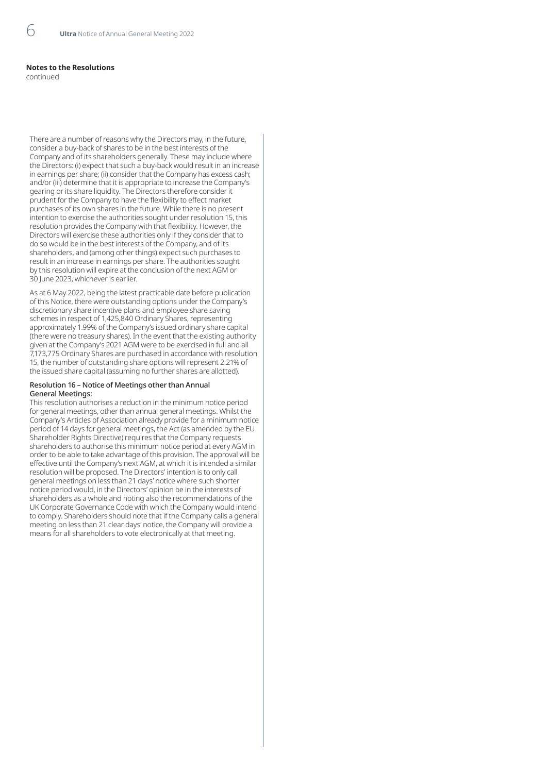#### **Notes to the Resolutions**

continued

There are a number of reasons why the Directors may, in the future, consider a buy-back of shares to be in the best interests of the Company and of its shareholders generally. These may include where the Directors: (i) expect that such a buy-back would result in an increase in earnings per share; (ii) consider that the Company has excess cash; and/or (iii) determine that it is appropriate to increase the Company's gearing or its share liquidity. The Directors therefore consider it prudent for the Company to have the flexibility to effect market purchases of its own shares in the future. While there is no present intention to exercise the authorities sought under resolution 15, this resolution provides the Company with that flexibility. However, the Directors will exercise these authorities only if they consider that to do so would be in the best interests of the Company, and of its shareholders, and (among other things) expect such purchases to result in an increase in earnings per share. The authorities sought by this resolution will expire at the conclusion of the next AGM or 30 June 2023, whichever is earlier.

As at 6 May 2022, being the latest practicable date before publication of this Notice, there were outstanding options under the Company's discretionary share incentive plans and employee share saving schemes in respect of 1,425,840 Ordinary Shares, representing approximately 1.99% of the Company's issued ordinary share capital (there were no treasury shares). In the event that the existing authority given at the Company's 2021 AGM were to be exercised in full and all 7,173,775 Ordinary Shares are purchased in accordance with resolution 15, the number of outstanding share options will represent 2.21% of the issued share capital (assuming no further shares are allotted).

#### Resolution 16 – Notice of Meetings other than Annual General Meetings:

This resolution authorises a reduction in the minimum notice period for general meetings, other than annual general meetings. Whilst the Company's Articles of Association already provide for a minimum notice period of 14 days for general meetings, the Act (as amended by the EU Shareholder Rights Directive) requires that the Company requests shareholders to authorise this minimum notice period at every AGM in order to be able to take advantage of this provision. The approval will be effective until the Company's next AGM, at which it is intended a similar resolution will be proposed. The Directors' intention is to only call general meetings on less than 21 days' notice where such shorter notice period would, in the Directors' opinion be in the interests of shareholders as a whole and noting also the recommendations of the UK Corporate Governance Code with which the Company would intend to comply. Shareholders should note that if the Company calls a general meeting on less than 21 clear days' notice, the Company will provide a means for all shareholders to vote electronically at that meeting.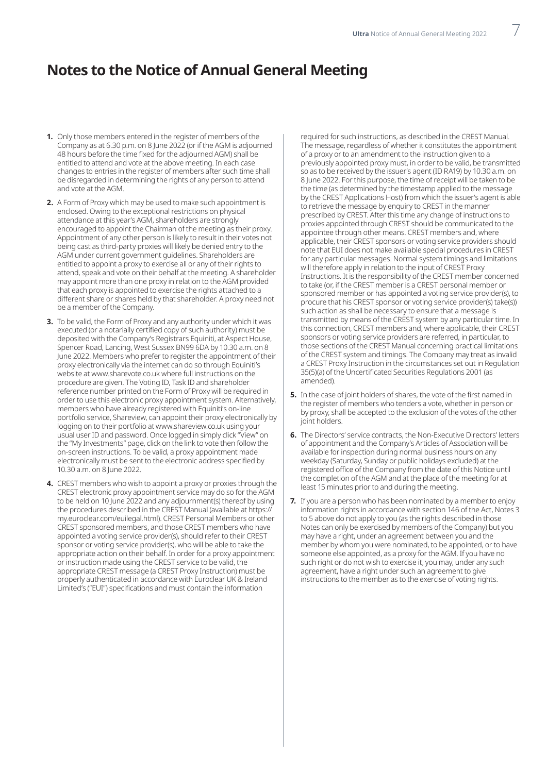### **Notes to the Notice of Annual General Meeting**

- **1.** Only those members entered in the register of members of the Company as at 6.30 p.m. on 8 June 2022 (or if the AGM is adjourned 48 hours before the time fixed for the adjourned AGM) shall be entitled to attend and vote at the above meeting. In each case changes to entries in the register of members after such time shall be disregarded in determining the rights of any person to attend and vote at the AGM.
- **2.** A Form of Proxy which may be used to make such appointment is enclosed. Owing to the exceptional restrictions on physical attendance at this year's AGM, shareholders are strongly encouraged to appoint the Chairman of the meeting as their proxy. Appointment of any other person is likely to result in their votes not being cast as third-party proxies will likely be denied entry to the AGM under current government guidelines. Shareholders are entitled to appoint a proxy to exercise all or any of their rights to attend, speak and vote on their behalf at the meeting. A shareholder may appoint more than one proxy in relation to the AGM provided that each proxy is appointed to exercise the rights attached to a different share or shares held by that shareholder. A proxy need not be a member of the Company.
- **3.** To be valid, the Form of Proxy and any authority under which it was executed (or a notarially certified copy of such authority) must be deposited with the Company's Registrars Equiniti, at Aspect House, Spencer Road, Lancing, West Sussex BN99 6DA by 10.30 a.m. on 8 June 2022. Members who prefer to register the appointment of their proxy electronically via the internet can do so through Equiniti's website at www.sharevote.co.uk where full instructions on the procedure are given. The Voting ID, Task ID and shareholder reference number printed on the Form of Proxy will be required in order to use this electronic proxy appointment system. Alternatively, members who have already registered with Equiniti's on-line portfolio service, Shareview, can appoint their proxy electronically by logging on to their portfolio at www.shareview.co.uk using your usual user ID and password. Once logged in simply click "View" on the "My Investments" page, click on the link to vote then follow the on-screen instructions. To be valid, a proxy appointment made electronically must be sent to the electronic address specified by 10.30 a.m. on 8 June 2022.
- **4.** CREST members who wish to appoint a proxy or proxies through the CREST electronic proxy appointment service may do so for the AGM to be held on 10 June 2022 and any adjournment(s) thereof by using the procedures described in the CREST Manual (available at https:// my.euroclear.com/euilegal.html). CREST Personal Members or other CREST sponsored members, and those CREST members who have appointed a voting service provider(s), should refer to their CREST sponsor or voting service provider(s), who will be able to take the appropriate action on their behalf. In order for a proxy appointment or instruction made using the CREST service to be valid, the appropriate CREST message (a CREST Proxy Instruction) must be properly authenticated in accordance with Euroclear UK & Ireland Limited's ("EUI") specifications and must contain the information

required for such instructions, as described in the CREST Manual. The message, regardless of whether it constitutes the appointment of a proxy or to an amendment to the instruction given to a previously appointed proxy must, in order to be valid, be transmitted so as to be received by the issuer's agent (ID RA19) by 10.30 a.m. on 8 June 2022. For this purpose, the time of receipt will be taken to be the time (as determined by the timestamp applied to the message by the CREST Applications Host) from which the issuer's agent is able to retrieve the message by enquiry to CREST in the manner prescribed by CREST. After this time any change of instructions to proxies appointed through CREST should be communicated to the appointee through other means. CREST members and, where applicable, their CREST sponsors or voting service providers should note that EUI does not make available special procedures in CREST for any particular messages. Normal system timings and limitations will therefore apply in relation to the input of CREST Proxy Instructions. It is the responsibility of the CREST member concerned to take (or, if the CREST member is a CREST personal member or sponsored member or has appointed a voting service provider(s), to procure that his CREST sponsor or voting service provider(s) take(s)) such action as shall be necessary to ensure that a message is transmitted by means of the CREST system by any particular time. In this connection, CREST members and, where applicable, their CREST sponsors or voting service providers are referred, in particular, to those sections of the CREST Manual concerning practical limitations of the CREST system and timings. The Company may treat as invalid a CREST Proxy Instruction in the circumstances set out in Regulation 35(5)(a) of the Uncertificated Securities Regulations 2001 (as amended).

- **5.** In the case of joint holders of shares, the vote of the first named in the register of members who tenders a vote, whether in person or by proxy, shall be accepted to the exclusion of the votes of the other joint holders.
- **6.** The Directors' service contracts, the Non-Executive Directors' letters of appointment and the Company's Articles of Association will be available for inspection during normal business hours on any weekday (Saturday, Sunday or public holidays excluded) at the registered office of the Company from the date of this Notice until the completion of the AGM and at the place of the meeting for at least 15 minutes prior to and during the meeting.
- **7.** If you are a person who has been nominated by a member to enjoy information rights in accordance with section 146 of the Act, Notes 3 to 5 above do not apply to you (as the rights described in those Notes can only be exercised by members of the Company) but you may have a right, under an agreement between you and the member by whom you were nominated, to be appointed, or to have someone else appointed, as a proxy for the AGM. If you have no such right or do not wish to exercise it, you may, under any such agreement, have a right under such an agreement to give instructions to the member as to the exercise of voting rights.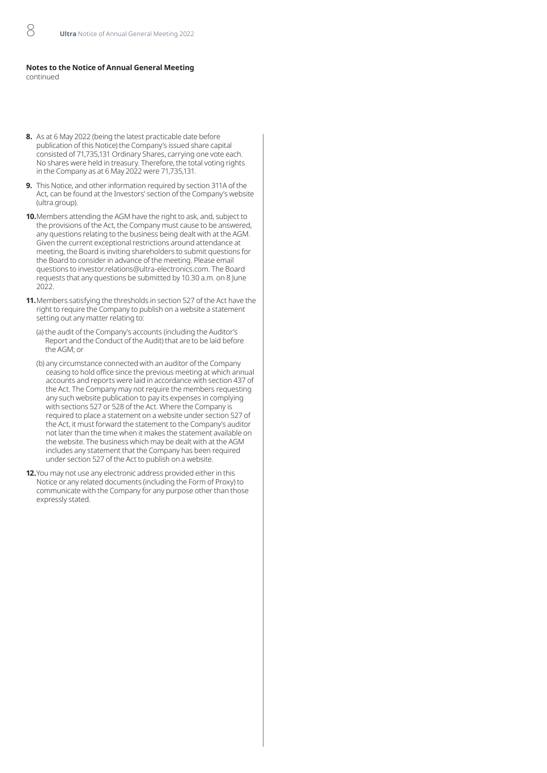#### **Notes to the Notice of Annual General Meeting** continued

**8.** As at 6 May 2022 (being the latest practicable date before publication of this Notice) the Company's issued share capital consisted of 71,735,131 Ordinary Shares, carrying one vote each. No shares were held in treasury. Therefore, the total voting rights in the Company as at 6 May 2022 were 71,735,131.

- **9.** This Notice, and other information required by section 311A of the Act, can be found at the Investors' section of the Company's website (ultra.group).
- **10.**Members attending the AGM have the right to ask, and, subject to the provisions of the Act, the Company must cause to be answered, any questions relating to the business being dealt with at the AGM. Given the current exceptional restrictions around attendance at meeting, the Board is inviting shareholders to submit questions for the Board to consider in advance of the meeting. Please email questions to investor.relations@ultra-electronics.com. The Board requests that any questions be submitted by 10.30 a.m. on 8 June 2022.
- **11.**Members satisfying the thresholds in section 527 of the Act have the right to require the Company to publish on a website a statement setting out any matter relating to:
	- (a) the audit of the Company's accounts (including the Auditor's Report and the Conduct of the Audit) that are to be laid before the AGM; or
	- (b) any circumstance connected with an auditor of the Company ceasing to hold office since the previous meeting at which annual accounts and reports were laid in accordance with section 437 of the Act. The Company may not require the members requesting any such website publication to pay its expenses in complying with sections 527 or 528 of the Act. Where the Company is required to place a statement on a website under section 527 of the Act, it must forward the statement to the Company's auditor not later than the time when it makes the statement available on the website. The business which may be dealt with at the AGM includes any statement that the Company has been required under section 527 of the Act to publish on a website.
- **12.**You may not use any electronic address provided either in this Notice or any related documents (including the Form of Proxy) to communicate with the Company for any purpose other than those expressly stated.